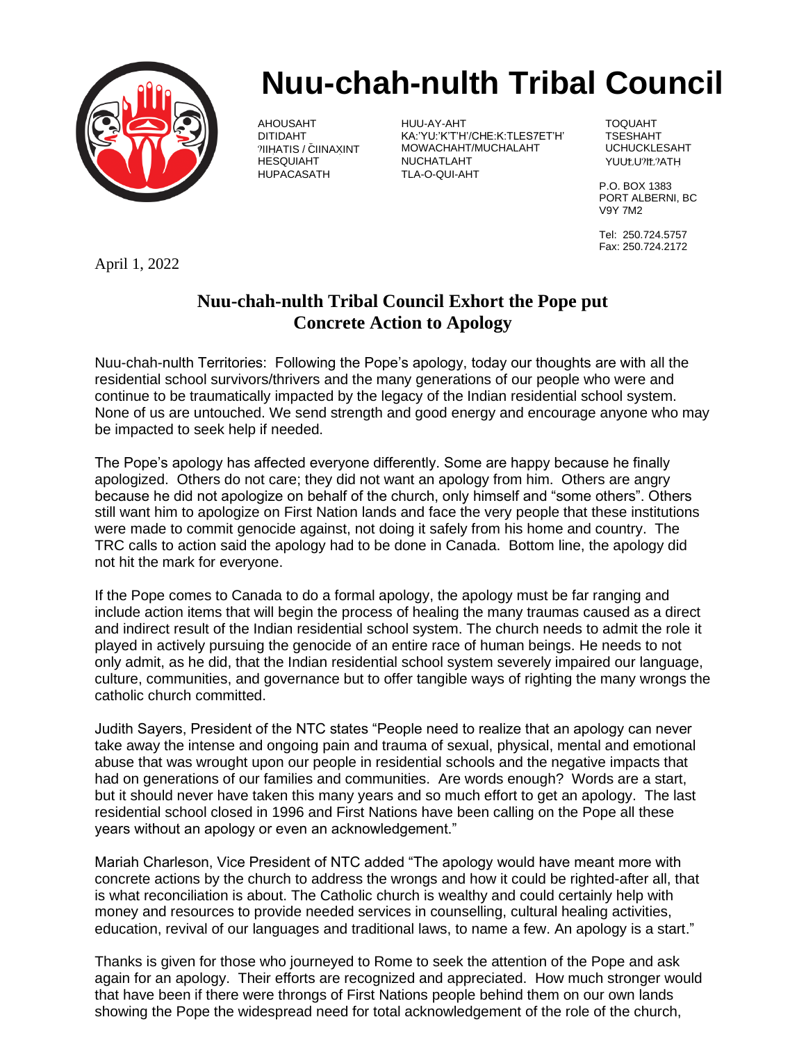

## **Nuu-chah-nulth Tribal Council**

AHOUSAHT HUU-AY-AHT TOQUAHT KA:'YU:'K'T'H'/CHE:K:TLES7ET'H' %IIH=ATIS / C\*IINAX=INT MOWACHAHT/MUCHALAHT UCHUCKLESAHT HESQUIAHT NUCHATLAHT YUU<U%I<%ATH= TLA-O-QUI-AHT

P.O. BOX 1383 PORT ALBERNI, BC V9Y 7M2

Tel: 250.724.5757 Fax: 250.724.2172

April 1, 2022

## **Nuu-chah-nulth Tribal Council Exhort the Pope put Concrete Action to Apology**

Nuu-chah-nulth Territories: Following the Pope's apology, today our thoughts are with all the residential school survivors/thrivers and the many generations of our people who were and continue to be traumatically impacted by the legacy of the Indian residential school system. None of us are untouched. We send strength and good energy and encourage anyone who may be impacted to seek help if needed.

The Pope's apology has affected everyone differently. Some are happy because he finally apologized. Others do not care; they did not want an apology from him. Others are angry because he did not apologize on behalf of the church, only himself and "some others". Others still want him to apologize on First Nation lands and face the very people that these institutions were made to commit genocide against, not doing it safely from his home and country. The TRC calls to action said the apology had to be done in Canada. Bottom line, the apology did not hit the mark for everyone.

If the Pope comes to Canada to do a formal apology, the apology must be far ranging and include action items that will begin the process of healing the many traumas caused as a direct and indirect result of the Indian residential school system. The church needs to admit the role it played in actively pursuing the genocide of an entire race of human beings. He needs to not only admit, as he did, that the Indian residential school system severely impaired our language, culture, communities, and governance but to offer tangible ways of righting the many wrongs the catholic church committed.

Judith Sayers, President of the NTC states "People need to realize that an apology can never take away the intense and ongoing pain and trauma of sexual, physical, mental and emotional abuse that was wrought upon our people in residential schools and the negative impacts that had on generations of our families and communities. Are words enough? Words are a start, but it should never have taken this many years and so much effort to get an apology. The last residential school closed in 1996 and First Nations have been calling on the Pope all these years without an apology or even an acknowledgement."

Mariah Charleson, Vice President of NTC added "The apology would have meant more with concrete actions by the church to address the wrongs and how it could be righted-after all, that is what reconciliation is about. The Catholic church is wealthy and could certainly help with money and resources to provide needed services in counselling, cultural healing activities, education, revival of our languages and traditional laws, to name a few. An apology is a start."

Thanks is given for those who journeyed to Rome to seek the attention of the Pope and ask again for an apology. Their efforts are recognized and appreciated. How much stronger would that have been if there were throngs of First Nations people behind them on our own lands showing the Pope the widespread need for total acknowledgement of the role of the church,